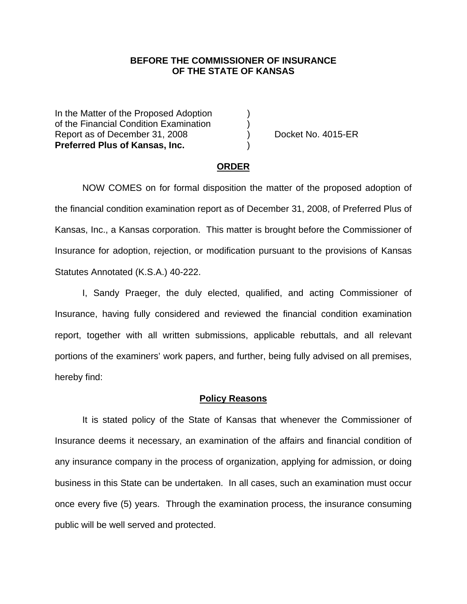## **BEFORE THE COMMISSIONER OF INSURANCE OF THE STATE OF KANSAS**

In the Matter of the Proposed Adoption of the Financial Condition Examination ) Report as of December 31, 2008 (a) Docket No. 4015-ER **Preferred Plus of Kansas, Inc.** )

#### **ORDER**

 NOW COMES on for formal disposition the matter of the proposed adoption of the financial condition examination report as of December 31, 2008, of Preferred Plus of Kansas, Inc., a Kansas corporation. This matter is brought before the Commissioner of Insurance for adoption, rejection, or modification pursuant to the provisions of Kansas Statutes Annotated (K.S.A.) 40-222.

 I, Sandy Praeger, the duly elected, qualified, and acting Commissioner of Insurance, having fully considered and reviewed the financial condition examination report, together with all written submissions, applicable rebuttals, and all relevant portions of the examiners' work papers, and further, being fully advised on all premises, hereby find:

#### **Policy Reasons**

 It is stated policy of the State of Kansas that whenever the Commissioner of Insurance deems it necessary, an examination of the affairs and financial condition of any insurance company in the process of organization, applying for admission, or doing business in this State can be undertaken. In all cases, such an examination must occur once every five (5) years. Through the examination process, the insurance consuming public will be well served and protected.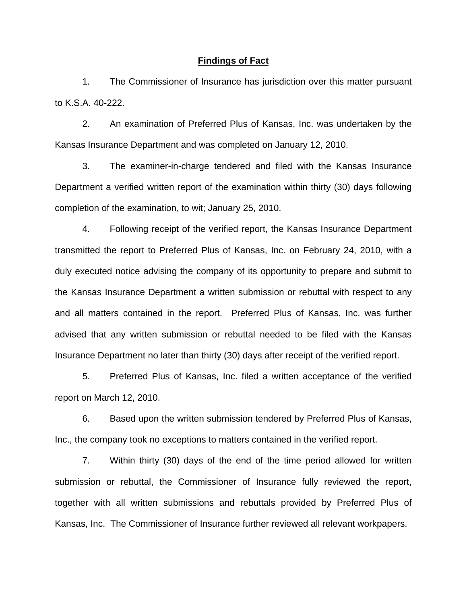### **Findings of Fact**

 1. The Commissioner of Insurance has jurisdiction over this matter pursuant to K.S.A. 40-222.

 2. An examination of Preferred Plus of Kansas, Inc. was undertaken by the Kansas Insurance Department and was completed on January 12, 2010.

 3. The examiner-in-charge tendered and filed with the Kansas Insurance Department a verified written report of the examination within thirty (30) days following completion of the examination, to wit; January 25, 2010.

 4. Following receipt of the verified report, the Kansas Insurance Department transmitted the report to Preferred Plus of Kansas, Inc. on February 24, 2010, with a duly executed notice advising the company of its opportunity to prepare and submit to the Kansas Insurance Department a written submission or rebuttal with respect to any and all matters contained in the report. Preferred Plus of Kansas, Inc. was further advised that any written submission or rebuttal needed to be filed with the Kansas Insurance Department no later than thirty (30) days after receipt of the verified report.

 5. Preferred Plus of Kansas, Inc. filed a written acceptance of the verified report on March 12, 2010.

6. Based upon the written submission tendered by Preferred Plus of Kansas, Inc., the company took no exceptions to matters contained in the verified report.

 7. Within thirty (30) days of the end of the time period allowed for written submission or rebuttal, the Commissioner of Insurance fully reviewed the report, together with all written submissions and rebuttals provided by Preferred Plus of Kansas, Inc. The Commissioner of Insurance further reviewed all relevant workpapers.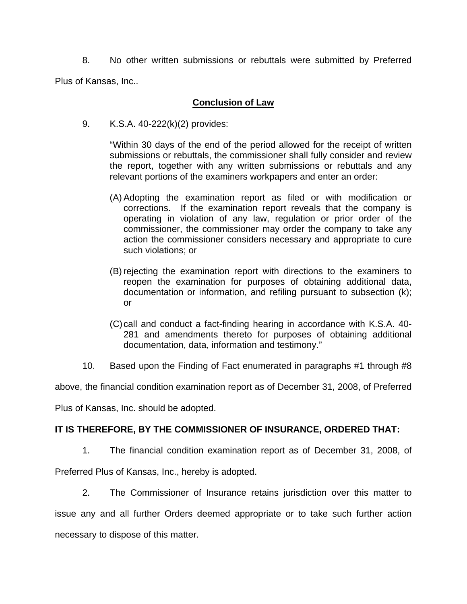8. No other written submissions or rebuttals were submitted by Preferred Plus of Kansas, Inc..

## **Conclusion of Law**

9. K.S.A. 40-222(k)(2) provides:

"Within 30 days of the end of the period allowed for the receipt of written submissions or rebuttals, the commissioner shall fully consider and review the report, together with any written submissions or rebuttals and any relevant portions of the examiners workpapers and enter an order:

- (A) Adopting the examination report as filed or with modification or corrections. If the examination report reveals that the company is operating in violation of any law, regulation or prior order of the commissioner, the commissioner may order the company to take any action the commissioner considers necessary and appropriate to cure such violations; or
- (B) rejecting the examination report with directions to the examiners to reopen the examination for purposes of obtaining additional data, documentation or information, and refiling pursuant to subsection (k); or
- (C) call and conduct a fact-finding hearing in accordance with K.S.A. 40- 281 and amendments thereto for purposes of obtaining additional documentation, data, information and testimony."
- 10. Based upon the Finding of Fact enumerated in paragraphs #1 through #8

above, the financial condition examination report as of December 31, 2008, of Preferred

Plus of Kansas, Inc. should be adopted.

# **IT IS THEREFORE, BY THE COMMISSIONER OF INSURANCE, ORDERED THAT:**

1. The financial condition examination report as of December 31, 2008, of

Preferred Plus of Kansas, Inc., hereby is adopted.

 2. The Commissioner of Insurance retains jurisdiction over this matter to issue any and all further Orders deemed appropriate or to take such further action necessary to dispose of this matter.